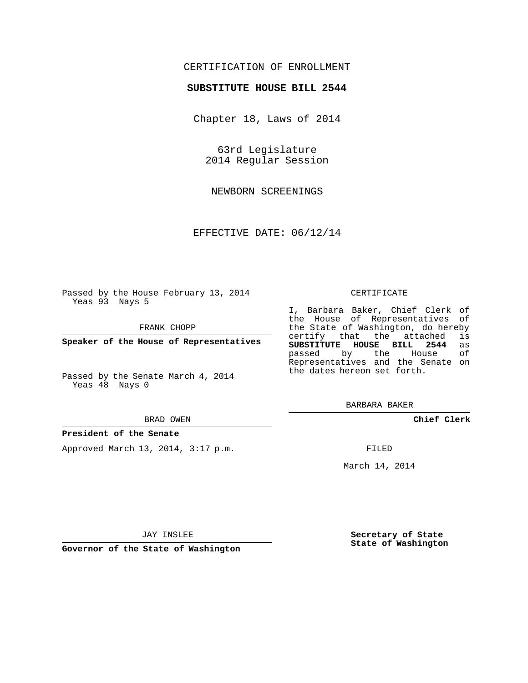## CERTIFICATION OF ENROLLMENT

### **SUBSTITUTE HOUSE BILL 2544**

Chapter 18, Laws of 2014

63rd Legislature 2014 Regular Session

NEWBORN SCREENINGS

EFFECTIVE DATE: 06/12/14

Passed by the House February 13, 2014 Yeas 93 Nays 5

FRANK CHOPP

**Speaker of the House of Representatives**

Passed by the Senate March 4, 2014 Yeas 48 Nays 0

#### BRAD OWEN

#### **President of the Senate**

Approved March 13, 2014, 3:17 p.m.

#### CERTIFICATE

I, Barbara Baker, Chief Clerk of the House of Representatives of the State of Washington, do hereby<br>certify that the attached is certify that the attached **SUBSTITUTE HOUSE BILL 2544** as passed by the Representatives and the Senate on the dates hereon set forth.

BARBARA BAKER

**Chief Clerk**

FILED

March 14, 2014

JAY INSLEE

**Governor of the State of Washington**

**Secretary of State State of Washington**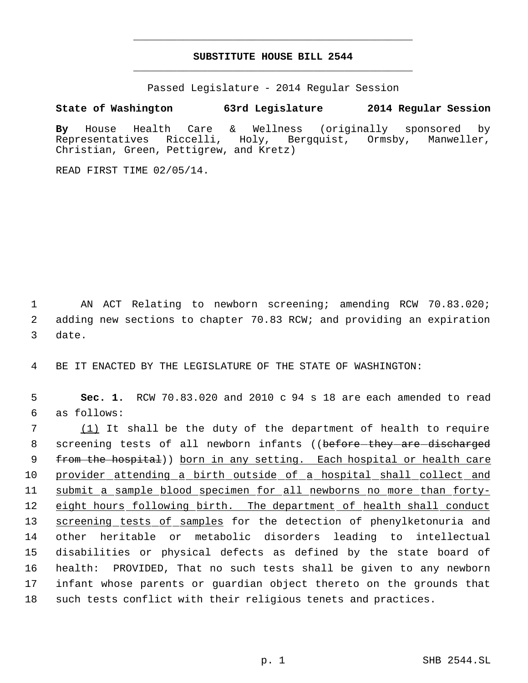# **SUBSTITUTE HOUSE BILL 2544** \_\_\_\_\_\_\_\_\_\_\_\_\_\_\_\_\_\_\_\_\_\_\_\_\_\_\_\_\_\_\_\_\_\_\_\_\_\_\_\_\_\_\_\_\_

\_\_\_\_\_\_\_\_\_\_\_\_\_\_\_\_\_\_\_\_\_\_\_\_\_\_\_\_\_\_\_\_\_\_\_\_\_\_\_\_\_\_\_\_\_

Passed Legislature - 2014 Regular Session

**State of Washington 63rd Legislature 2014 Regular Session**

**By** House Health Care & Wellness (originally sponsored by Representatives Riccelli, Holy, Bergquist, Ormsby, Manweller, Christian, Green, Pettigrew, and Kretz)

READ FIRST TIME 02/05/14.

 1 AN ACT Relating to newborn screening; amending RCW 70.83.020; 2 adding new sections to chapter 70.83 RCW; and providing an expiration 3 date.

4 BE IT ENACTED BY THE LEGISLATURE OF THE STATE OF WASHINGTON:

 5 **Sec. 1.** RCW 70.83.020 and 2010 c 94 s 18 are each amended to read 6 as follows:

 7 (1) It shall be the duty of the department of health to require 8 screening tests of all newborn infants ((before they are discharged 9 from the hospital)) born in any setting. Each hospital or health care 10 provider attending a birth outside of a hospital shall collect and 11 submit a sample blood specimen for all newborns no more than forty-12 eight hours following birth. The department of health shall conduct 13 screening tests of samples for the detection of phenylketonuria and 14 other heritable or metabolic disorders leading to intellectual 15 disabilities or physical defects as defined by the state board of 16 health: PROVIDED, That no such tests shall be given to any newborn 17 infant whose parents or guardian object thereto on the grounds that 18 such tests conflict with their religious tenets and practices.